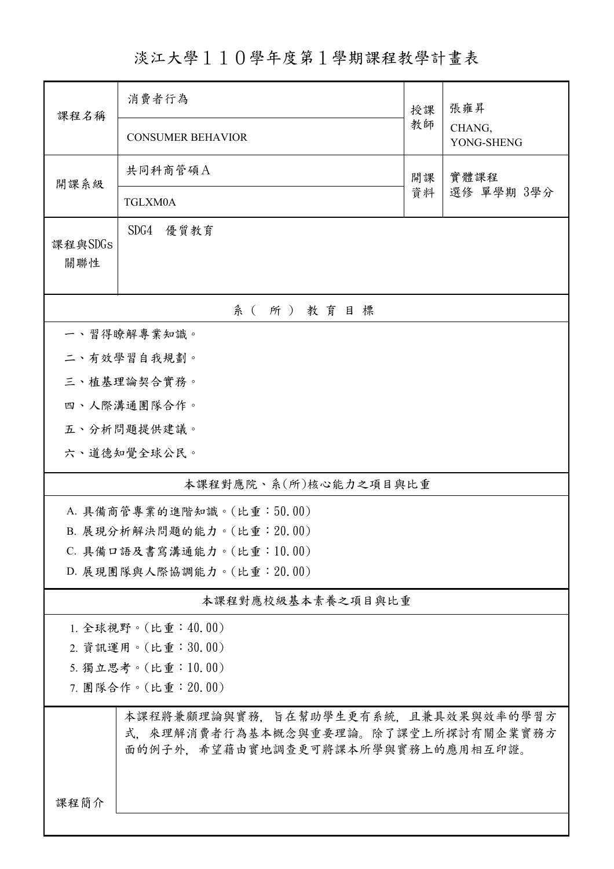淡江大學110學年度第1學期課程教學計畫表

| 課程名稱                                                                     | 消費者行為                               |          | 張雍昇                  |  |  |  |  |  |
|--------------------------------------------------------------------------|-------------------------------------|----------|----------------------|--|--|--|--|--|
|                                                                          | <b>CONSUMER BEHAVIOR</b>            | 教師       | CHANG,<br>YONG-SHENG |  |  |  |  |  |
| 開課系級                                                                     | 共同科商管碩A                             | 開課<br>資料 | 實體課程<br>選修 單學期 3學分   |  |  |  |  |  |
|                                                                          | TGLXM0A                             |          |                      |  |  |  |  |  |
| 課程與SDGs                                                                  | SDG4<br>優質教育                        |          |                      |  |  |  |  |  |
| 關聯性                                                                      |                                     |          |                      |  |  |  |  |  |
| 系(所)教育目標                                                                 |                                     |          |                      |  |  |  |  |  |
|                                                                          | 一、習得瞭解專業知識。                         |          |                      |  |  |  |  |  |
|                                                                          | 二、有效學習自我規劃。                         |          |                      |  |  |  |  |  |
|                                                                          | 三、植基理論契合實務。                         |          |                      |  |  |  |  |  |
|                                                                          | 四、人際溝通團隊合作。                         |          |                      |  |  |  |  |  |
|                                                                          | 五、分析問題提供建議。                         |          |                      |  |  |  |  |  |
|                                                                          | 六、道德知覺全球公民。                         |          |                      |  |  |  |  |  |
| 本課程對應院、系(所)核心能力之項目與比重                                                    |                                     |          |                      |  |  |  |  |  |
|                                                                          | A. 具備商管專業的進階知識。(比重:50.00)           |          |                      |  |  |  |  |  |
|                                                                          | B. 展現分析解決問題的能力。(比重: 20.00)          |          |                      |  |  |  |  |  |
| C. 具備口語及書寫溝通能力。(比重:10.00)                                                |                                     |          |                      |  |  |  |  |  |
|                                                                          | D. 展現團隊與人際協調能力。(比重: 20.00)          |          |                      |  |  |  |  |  |
| 本課程對應校級基本素養之項目與比重                                                        |                                     |          |                      |  |  |  |  |  |
|                                                                          | 1. 全球視野。(比重:40.00)                  |          |                      |  |  |  |  |  |
|                                                                          | 2. 資訊運用。(比重:30.00)                  |          |                      |  |  |  |  |  |
| 5. 獨立思考。(比重:10.00)                                                       |                                     |          |                      |  |  |  |  |  |
| 7. 團隊合作。(比重:20.00)                                                       |                                     |          |                      |  |  |  |  |  |
|                                                                          | 本課程將兼顧理論與實務,旨在幫助學生更有系統,且兼具效果與效率的學習方 |          |                      |  |  |  |  |  |
| 式,來理解消費者行為基本概念與重要理論。除了課堂上所探討有關企業實務方<br>面的例子外,希望藉由實地調查更可將課本所學與實務上的應用相互印證。 |                                     |          |                      |  |  |  |  |  |
|                                                                          |                                     |          |                      |  |  |  |  |  |
|                                                                          |                                     |          |                      |  |  |  |  |  |
| 課程簡介                                                                     |                                     |          |                      |  |  |  |  |  |
|                                                                          |                                     |          |                      |  |  |  |  |  |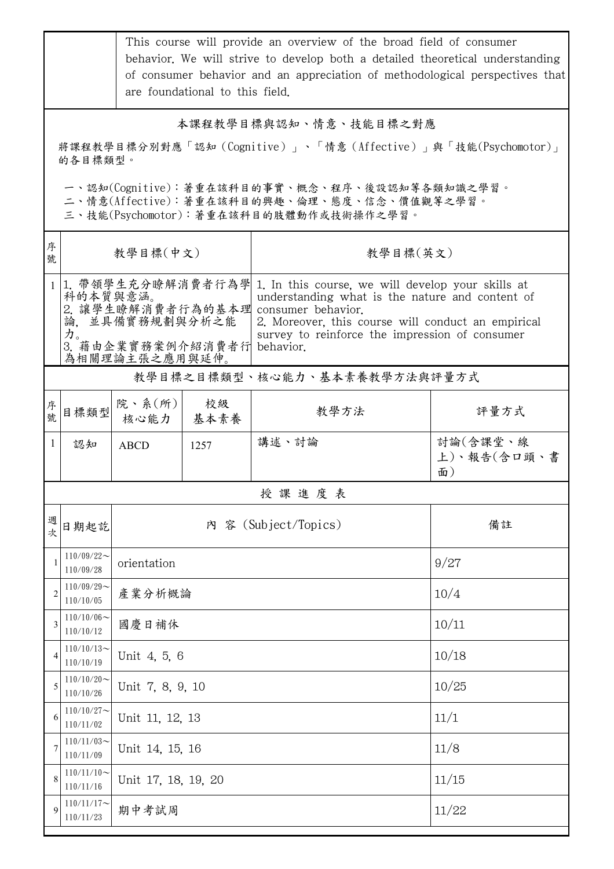|                                                                                                                                        | This course will provide an overview of the broad field of consumer<br>behavior. We will strive to develop both a detailed theoretical understanding<br>of consumer behavior and an appreciation of methodological perspectives that<br>are foundational to this field. |                                                                                                                                                                                                                                                                                                                                                                  |            |                      |                               |  |  |  |
|----------------------------------------------------------------------------------------------------------------------------------------|-------------------------------------------------------------------------------------------------------------------------------------------------------------------------------------------------------------------------------------------------------------------------|------------------------------------------------------------------------------------------------------------------------------------------------------------------------------------------------------------------------------------------------------------------------------------------------------------------------------------------------------------------|------------|----------------------|-------------------------------|--|--|--|
| 本課程教學目標與認知、情意、技能目標之對應<br>將課程教學目標分別對應「認知(Cognitive)」、「情意(Affective)」與「技能(Psychomotor)」<br>的各目標類型。                                       |                                                                                                                                                                                                                                                                         |                                                                                                                                                                                                                                                                                                                                                                  |            |                      |                               |  |  |  |
| 一、認知(Cognitive):著重在該科目的事實、概念、程序、後設認知等各類知識之學習。<br>二、情意(Affective):著重在該科目的興趣、倫理、態度、信念、價值觀等之學習。<br>三、技能(Psychomotor):著重在該科目的肢體動作或技術操作之學習。 |                                                                                                                                                                                                                                                                         |                                                                                                                                                                                                                                                                                                                                                                  |            |                      |                               |  |  |  |
| 序<br>號                                                                                                                                 |                                                                                                                                                                                                                                                                         | 教學目標(中文)                                                                                                                                                                                                                                                                                                                                                         |            | 教學目標(英文)             |                               |  |  |  |
|                                                                                                                                        | 力。                                                                                                                                                                                                                                                                      | 1 1. 帶領學生充分瞭解消費者行為學<br>1. In this course, we will develop your skills at<br>科的本質與意涵。<br>understanding what is the nature and content of<br>2. 讓學生瞭解消費者行為的基本理<br>consumer behavior.<br>論,並具備實務規劃與分析之能<br>2. Moreover, this course will conduct an empirical<br>survey to reinforce the impression of consumer<br>3. 藉由企業實務案例介紹消費者行<br>behavior.<br>為相關理論主張之應用與延伸。 |            |                      |                               |  |  |  |
| 教學目標之目標類型、核心能力、基本素養教學方法與評量方式                                                                                                           |                                                                                                                                                                                                                                                                         |                                                                                                                                                                                                                                                                                                                                                                  |            |                      |                               |  |  |  |
| 序<br>號                                                                                                                                 | 目標類型                                                                                                                                                                                                                                                                    | 院、系 $(\kappa)$<br>核心能力                                                                                                                                                                                                                                                                                                                                           | 校級<br>基本素養 | 教學方法                 | 評量方式                          |  |  |  |
| $\mathbf{1}$                                                                                                                           | 認知                                                                                                                                                                                                                                                                      | <b>ABCD</b>                                                                                                                                                                                                                                                                                                                                                      | 1257       | 講述、討論                | 討論(含課堂、線<br>上)、報告(含口頭、書<br>面) |  |  |  |
|                                                                                                                                        | 授課進度表                                                                                                                                                                                                                                                                   |                                                                                                                                                                                                                                                                                                                                                                  |            |                      |                               |  |  |  |
| 週<br>次                                                                                                                                 | 日期起訖                                                                                                                                                                                                                                                                    |                                                                                                                                                                                                                                                                                                                                                                  |            | 內 容 (Subject/Topics) | 備註                            |  |  |  |
| 1                                                                                                                                      | $110/09/22$ ~<br>110/09/28                                                                                                                                                                                                                                              | orientation                                                                                                                                                                                                                                                                                                                                                      |            | 9/27                 |                               |  |  |  |
| $\overline{2}$                                                                                                                         | $110/09/29$ ~<br>110/10/05                                                                                                                                                                                                                                              | 產業分析概論                                                                                                                                                                                                                                                                                                                                                           | 10/4       |                      |                               |  |  |  |
| 3                                                                                                                                      | $110/10/06 \sim$<br>110/10/12                                                                                                                                                                                                                                           | 國慶日補休                                                                                                                                                                                                                                                                                                                                                            |            | 10/11                |                               |  |  |  |
| 4                                                                                                                                      | $110/10/13$ ~<br>110/10/19                                                                                                                                                                                                                                              | Unit 4, 5, 6                                                                                                                                                                                                                                                                                                                                                     | 10/18      |                      |                               |  |  |  |
| 5                                                                                                                                      | $110/10/20$ ~<br>110/10/26                                                                                                                                                                                                                                              | Unit 7, 8, 9, 10                                                                                                                                                                                                                                                                                                                                                 | 10/25      |                      |                               |  |  |  |
| 6                                                                                                                                      | $110/10/27$ ~<br>110/11/02                                                                                                                                                                                                                                              | Unit 11, 12, 13                                                                                                                                                                                                                                                                                                                                                  | 11/1       |                      |                               |  |  |  |
| 7                                                                                                                                      | $110/11/03$ ~<br>110/11/09                                                                                                                                                                                                                                              | Unit 14, 15, 16                                                                                                                                                                                                                                                                                                                                                  |            |                      | 11/8                          |  |  |  |
| 8                                                                                                                                      | $110/11/10$ ~<br>110/11/16                                                                                                                                                                                                                                              | Unit 17, 18, 19, 20                                                                                                                                                                                                                                                                                                                                              |            |                      | 11/15                         |  |  |  |
| 9                                                                                                                                      | $110/11/17$ ~<br>110/11/23                                                                                                                                                                                                                                              | 期中考試周                                                                                                                                                                                                                                                                                                                                                            |            |                      | 11/22                         |  |  |  |